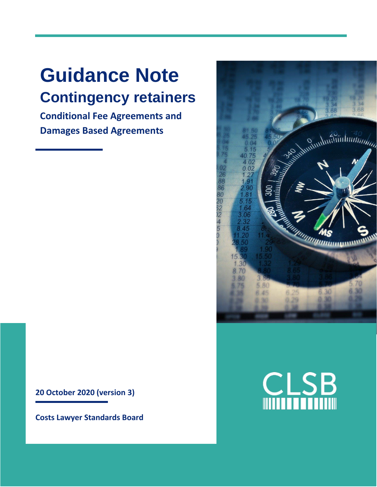# **Guidance Note Contingency retainers**

**Conditional Fee Agreements and Damages Based Agreements** 

Reprintmittimited to the Case of the Case of the Case of the Case of the Case of the Case of the Case of the Case of the Case of the Case of the Case of the Case of the Case of the Case of the Case of the Case of the Case 0.OS  $\overline{2}$ 38 86  $\frac{80}{20}$ <br> $\frac{22}{20}$ <br> $\frac{2}{4}$ 15  $\overline{5}$ *unumum*um 5 80 30 **B** 45 36

**20 October 2020 (version 3)**

**Costs Lawyer Standards Board**

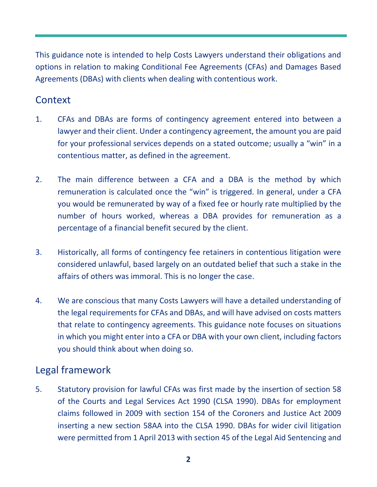This guidance note is intended to help Costs Lawyers understand their obligations and options in relation to making Conditional Fee Agreements (CFAs) and Damages Based Agreements (DBAs) with clients when dealing with contentious work.

# **Context**

- 1. CFAs and DBAs are forms of contingency agreement entered into between a lawyer and their client. Under a contingency agreement, the amount you are paid for your professional services depends on a stated outcome; usually a "win" in a contentious matter, as defined in the agreement.
- 2. The main difference between a CFA and a DBA is the method by which remuneration is calculated once the "win" is triggered. In general, under a CFA you would be remunerated by way of a fixed fee or hourly rate multiplied by the number of hours worked, whereas a DBA provides for remuneration as a percentage of a financial benefit secured by the client.
- 3. Historically, all forms of contingency fee retainers in contentious litigation were considered unlawful, based largely on an outdated belief that such a stake in the affairs of others was immoral. This is no longer the case.
- 4. We are conscious that many Costs Lawyers will have a detailed understanding of the legal requirements for CFAs and DBAs, and will have advised on costs matters that relate to contingency agreements. This guidance note focuses on situations in which you might enter into a CFA or DBA with your own client, including factors you should think about when doing so.

## Legal framework

5. Statutory provision for lawful CFAs was first made by the insertion of section 58 of the Courts and Legal Services Act 1990 (CLSA 1990). DBAs for employment claims followed in 2009 with section 154 of the Coroners and Justice Act 2009 inserting a new section 58AA into the CLSA 1990. DBAs for wider civil litigation were permitted from 1 April 2013 with section 45 of the Legal Aid Sentencing and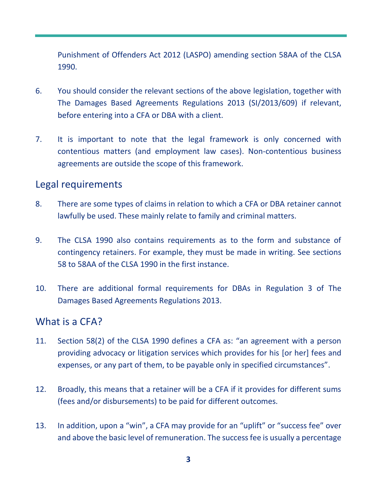Punishment of Offenders Act 2012 (LASPO) amending section 58AA of the CLSA 1990.

- 6. You should consider the relevant sections of the above legislation, together with The Damages Based Agreements Regulations 2013 (SI/2013/609) if relevant, before entering into a CFA or DBA with a client.
- 7. It is important to note that the legal framework is only concerned with contentious matters (and employment law cases). Non-contentious business agreements are outside the scope of this framework.

### Legal requirements

- 8. There are some types of claims in relation to which a CFA or DBA retainer cannot lawfully be used. These mainly relate to family and criminal matters.
- 9. The CLSA 1990 also contains requirements as to the form and substance of contingency retainers. For example, they must be made in writing. See sections 58 to 58AA of the CLSA 1990 in the first instance.
- 10. There are additional formal requirements for DBAs in Regulation 3 of The Damages Based Agreements Regulations 2013.

### What is a CFA?

- 11. Section 58(2) of the CLSA 1990 defines a CFA as: "an agreement with a person providing advocacy or litigation services which provides for his [or her] fees and expenses, or any part of them, to be payable only in specified circumstances".
- 12. Broadly, this means that a retainer will be a CFA if it provides for different sums (fees and/or disbursements) to be paid for different outcomes.
- 13. In addition, upon a "win", a CFA may provide for an "uplift" or "success fee" over and above the basic level of remuneration. The success fee is usually a percentage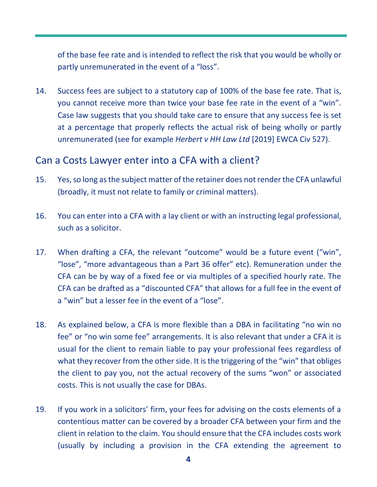of the base fee rate and is intended to reflect the risk that you would be wholly or partly unremunerated in the event of a "loss".

14. Success fees are subject to a statutory cap of 100% of the base fee rate. That is, you cannot receive more than twice your base fee rate in the event of a "win". Case law suggests that you should take care to ensure that any success fee is set at a percentage that properly reflects the actual risk of being wholly or partly unremunerated (see for example *Herbert v HH Law Ltd* [2019] EWCA Civ 527).

## Can a Costs Lawyer enter into a CFA with a client?

- 15. Yes, so long as the subject matter of the retainer does not render the CFA unlawful (broadly, it must not relate to family or criminal matters).
- 16. You can enter into a CFA with a lay client or with an instructing legal professional, such as a solicitor.
- 17. When drafting a CFA, the relevant "outcome" would be a future event ("win", "lose", "more advantageous than a Part 36 offer" etc). Remuneration under the CFA can be by way of a fixed fee or via multiples of a specified hourly rate. The CFA can be drafted as a "discounted CFA" that allows for a full fee in the event of a "win" but a lesser fee in the event of a "lose".
- 18. As explained below, a CFA is more flexible than a DBA in facilitating "no win no fee" or "no win some fee" arrangements. It is also relevant that under a CFA it is usual for the client to remain liable to pay your professional fees regardless of what they recover from the other side. It is the triggering of the "win" that obliges the client to pay you, not the actual recovery of the sums "won" or associated costs. This is not usually the case for DBAs.
- 19. If you work in a solicitors' firm, your fees for advising on the costs elements of a contentious matter can be covered by a broader CFA between your firm and the client in relation to the claim. You should ensure that the CFA includes costs work (usually by including a provision in the CFA extending the agreement to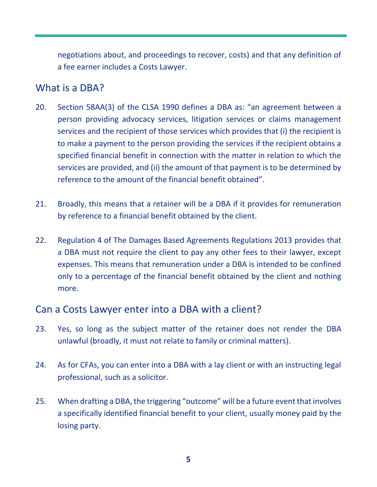negotiations about, and proceedings to recover, costs) and that any definition of a fee earner includes a Costs Lawyer.

#### What is a DBA?

- 20. Section 58AA(3) of the CLSA 1990 defines a DBA as: "an agreement between a person providing advocacy services, litigation services or claims management services and the recipient of those services which provides that (i) the recipient is to make a payment to the person providing the services if the recipient obtains a specified financial benefit in connection with the matter in relation to which the services are provided, and (ii) the amount of that payment is to be determined by reference to the amount of the financial benefit obtained".
- 21. Broadly, this means that a retainer will be a DBA if it provides for remuneration by reference to a financial benefit obtained by the client.
- 22. Regulation 4 of The Damages Based Agreements Regulations 2013 provides that a DBA must not require the client to pay any other fees to their lawyer, except expenses. This means that remuneration under a DBA is intended to be confined only to a percentage of the financial benefit obtained by the client and nothing more.

## Can a Costs Lawyer enter into a DBA with a client?

- 23. Yes, so long as the subject matter of the retainer does not render the DBA unlawful (broadly, it must not relate to family or criminal matters).
- 24. As for CFAs, you can enter into a DBA with a lay client or with an instructing legal professional, such as a solicitor.
- 25. When drafting a DBA, the triggering "outcome" will be a future event that involves a specifically identified financial benefit to your client, usually money paid by the losing party.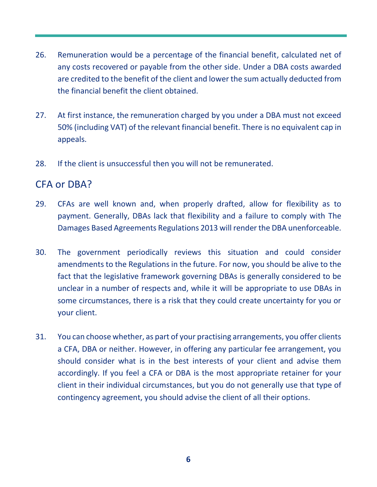- 26. Remuneration would be a percentage of the financial benefit, calculated net of any costs recovered or payable from the other side. Under a DBA costs awarded are credited to the benefit of the client and lower the sum actually deducted from the financial benefit the client obtained.
- 27. At first instance, the remuneration charged by you under a DBA must not exceed 50% (including VAT) of the relevant financial benefit. There is no equivalent cap in appeals.
- 28. If the client is unsuccessful then you will not be remunerated.

### CFA or DBA?

- 29. CFAs are well known and, when properly drafted, allow for flexibility as to payment. Generally, DBAs lack that flexibility and a failure to comply with The Damages Based Agreements Regulations 2013 will render the DBA unenforceable.
- 30. The government periodically reviews this situation and could consider amendments to the Regulations in the future. For now, you should be alive to the fact that the legislative framework governing DBAs is generally considered to be unclear in a number of respects and, while it will be appropriate to use DBAs in some circumstances, there is a risk that they could create uncertainty for you or your client.
- 31. You can choose whether, as part of your practising arrangements, you offer clients a CFA, DBA or neither. However, in offering any particular fee arrangement, you should consider what is in the best interests of your client and advise them accordingly. If you feel a CFA or DBA is the most appropriate retainer for your client in their individual circumstances, but you do not generally use that type of contingency agreement, you should advise the client of all their options.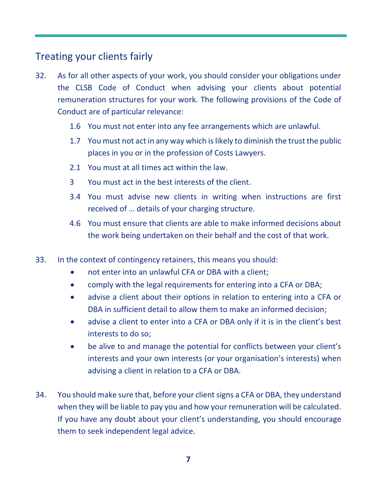# Treating your clients fairly

- 32. As for all other aspects of your work, you should consider your obligations under the CLSB Code of Conduct when advising your clients about potential remuneration structures for your work. The following provisions of the Code of Conduct are of particular relevance:
	- 1.6 You must not enter into any fee arrangements which are unlawful.
	- 1.7 You must not act in any way which is likely to diminish the trust the public places in you or in the profession of Costs Lawyers.
	- 2.1 You must at all times act within the law.
	- 3 You must act in the best interests of the client.
	- 3.4 You must advise new clients in writing when instructions are first received of … details of your charging structure.
	- 4.6 You must ensure that clients are able to make informed decisions about the work being undertaken on their behalf and the cost of that work.
- 33. In the context of contingency retainers, this means you should:
	- not enter into an unlawful CFA or DBA with a client:
	- comply with the legal requirements for entering into a CFA or DBA;
	- advise a client about their options in relation to entering into a CFA or DBA in sufficient detail to allow them to make an informed decision;
	- advise a client to enter into a CFA or DBA only if it is in the client's best interests to do so;
	- be alive to and manage the potential for conflicts between your client's interests and your own interests (or your organisation's interests) when advising a client in relation to a CFA or DBA.
- 34. You should make sure that, before your client signs a CFA or DBA, they understand when they will be liable to pay you and how your remuneration will be calculated. If you have any doubt about your client's understanding, you should encourage them to seek independent legal advice.